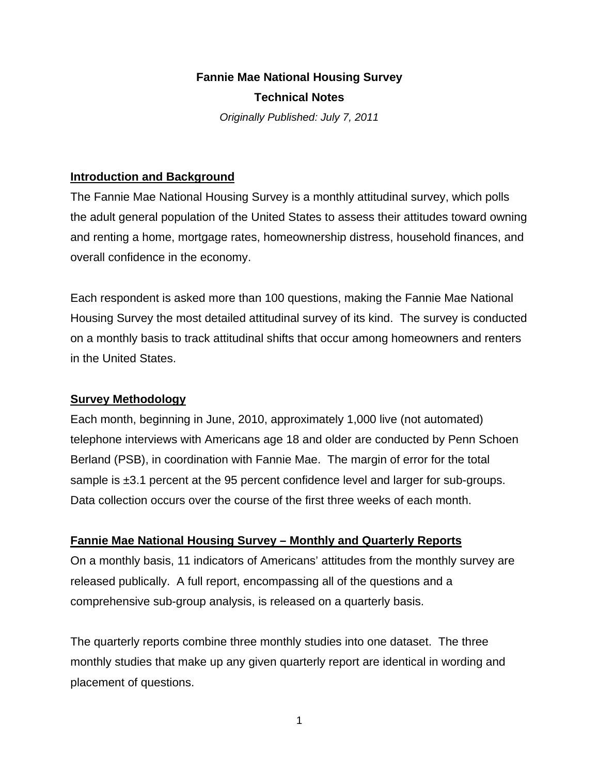# **Fannie Mae National Housing Survey Technical Notes**

*Originally Published: July 7, 2011* 

## **Introduction and Background**

The Fannie Mae National Housing Survey is a monthly attitudinal survey, which polls the adult general population of the United States to assess their attitudes toward owning and renting a home, mortgage rates, homeownership distress, household finances, and overall confidence in the economy.

Each respondent is asked more than 100 questions, making the Fannie Mae National Housing Survey the most detailed attitudinal survey of its kind. The survey is conducted on a monthly basis to track attitudinal shifts that occur among homeowners and renters in the United States.

# **Survey Methodology**

Each month, beginning in June, 2010, approximately 1,000 live (not automated) telephone interviews with Americans age 18 and older are conducted by Penn Schoen Berland (PSB), in coordination with Fannie Mae. The margin of error for the total sample is ±3.1 percent at the 95 percent confidence level and larger for sub-groups. Data collection occurs over the course of the first three weeks of each month.

# **Fannie Mae National Housing Survey – Monthly and Quarterly Reports**

On a monthly basis, 11 indicators of Americans' attitudes from the monthly survey are released publically. A full report, encompassing all of the questions and a comprehensive sub-group analysis, is released on a quarterly basis.

The quarterly reports combine three monthly studies into one dataset. The three monthly studies that make up any given quarterly report are identical in wording and placement of questions.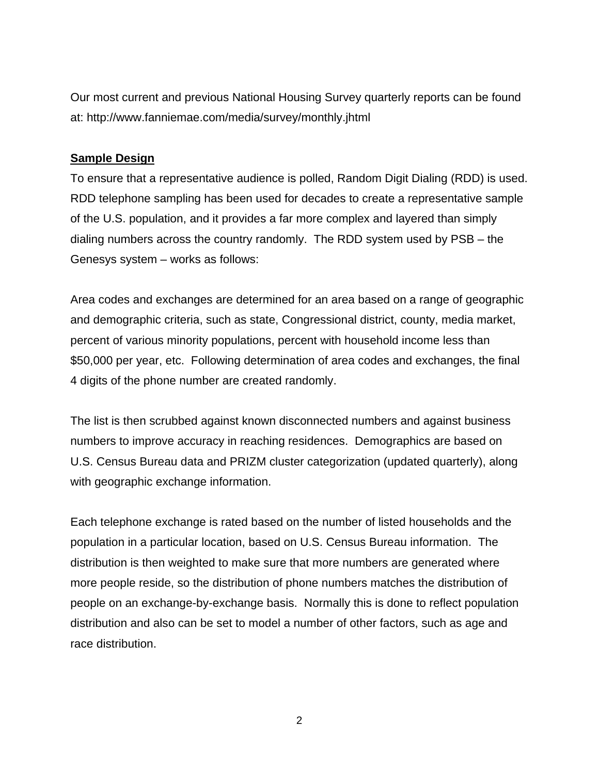Our most current and previous National Housing Survey quarterly reports can be found at: http://www.fanniemae.com/media/survey/monthly.jhtml

#### **Sample Design**

To ensure that a representative audience is polled, Random Digit Dialing (RDD) is used. RDD telephone sampling has been used for decades to create a representative sample of the U.S. population, and it provides a far more complex and layered than simply dialing numbers across the country randomly. The RDD system used by PSB – the Genesys system – works as follows:

Area codes and exchanges are determined for an area based on a range of geographic and demographic criteria, such as state, Congressional district, county, media market, percent of various minority populations, percent with household income less than \$50,000 per year, etc. Following determination of area codes and exchanges, the final 4 digits of the phone number are created randomly.

The list is then scrubbed against known disconnected numbers and against business numbers to improve accuracy in reaching residences. Demographics are based on U.S. Census Bureau data and PRIZM cluster categorization (updated quarterly), along with geographic exchange information.

Each telephone exchange is rated based on the number of listed households and the population in a particular location, based on U.S. Census Bureau information. The distribution is then weighted to make sure that more numbers are generated where more people reside, so the distribution of phone numbers matches the distribution of people on an exchange-by-exchange basis. Normally this is done to reflect population distribution and also can be set to model a number of other factors, such as age and race distribution.

2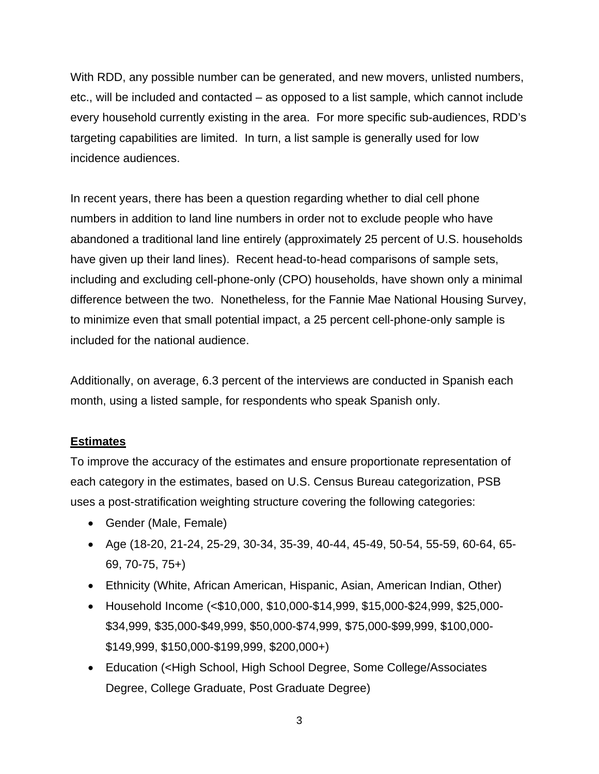With RDD, any possible number can be generated, and new movers, unlisted numbers, etc., will be included and contacted – as opposed to a list sample, which cannot include every household currently existing in the area. For more specific sub-audiences, RDD's targeting capabilities are limited. In turn, a list sample is generally used for low incidence audiences.

In recent years, there has been a question regarding whether to dial cell phone numbers in addition to land line numbers in order not to exclude people who have abandoned a traditional land line entirely (approximately 25 percent of U.S. households have given up their land lines). Recent head-to-head comparisons of sample sets, including and excluding cell-phone-only (CPO) households, have shown only a minimal difference between the two. Nonetheless, for the Fannie Mae National Housing Survey, to minimize even that small potential impact, a 25 percent cell-phone-only sample is included for the national audience.

Additionally, on average, 6.3 percent of the interviews are conducted in Spanish each month, using a listed sample, for respondents who speak Spanish only.

# **Estimates**

To improve the accuracy of the estimates and ensure proportionate representation of each category in the estimates, based on U.S. Census Bureau categorization, PSB uses a post-stratification weighting structure covering the following categories:

- Gender (Male, Female)
- Age (18-20, 21-24, 25-29, 30-34, 35-39, 40-44, 45-49, 50-54, 55-59, 60-64, 65- 69, 70-75, 75+)
- Ethnicity (White, African American, Hispanic, Asian, American Indian, Other)
- Household Income (<\$10,000, \$10,000-\$14,999, \$15,000-\$24,999, \$25,000- \$34,999, \$35,000-\$49,999, \$50,000-\$74,999, \$75,000-\$99,999, \$100,000- \$149,999, \$150,000-\$199,999, \$200,000+)
- Education (<High School, High School Degree, Some College/Associates Degree, College Graduate, Post Graduate Degree)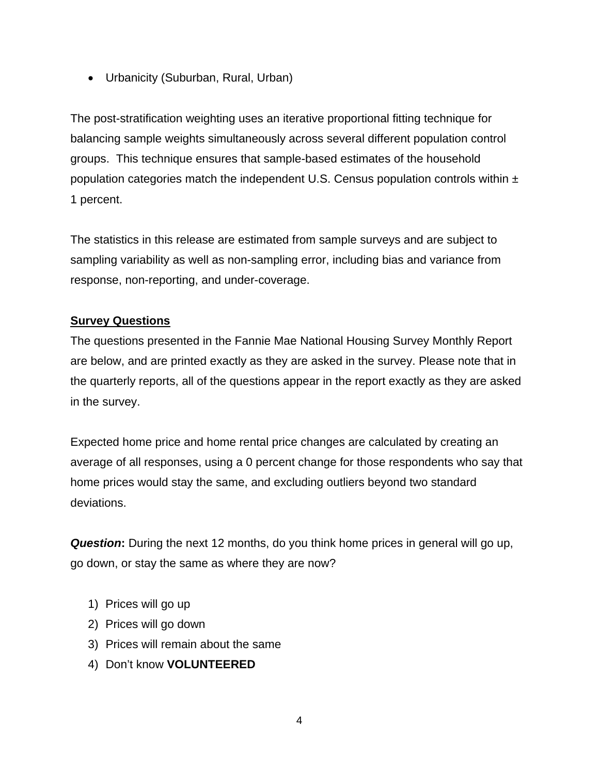Urbanicity (Suburban, Rural, Urban)

The post-stratification weighting uses an iterative proportional fitting technique for balancing sample weights simultaneously across several different population control groups. This technique ensures that sample-based estimates of the household population categories match the independent U.S. Census population controls within  $\pm$ 1 percent.

The statistics in this release are estimated from sample surveys and are subject to sampling variability as well as non-sampling error, including bias and variance from response, non-reporting, and under-coverage.

## **Survey Questions**

The questions presented in the Fannie Mae National Housing Survey Monthly Report are below, and are printed exactly as they are asked in the survey. Please note that in the quarterly reports, all of the questions appear in the report exactly as they are asked in the survey.

Expected home price and home rental price changes are calculated by creating an average of all responses, using a 0 percent change for those respondents who say that home prices would stay the same, and excluding outliers beyond two standard deviations.

**Question:** During the next 12 months, do you think home prices in general will go up, go down, or stay the same as where they are now?

- 1) Prices will go up
- 2) Prices will go down
- 3) Prices will remain about the same
- 4) Don't know **VOLUNTEERED**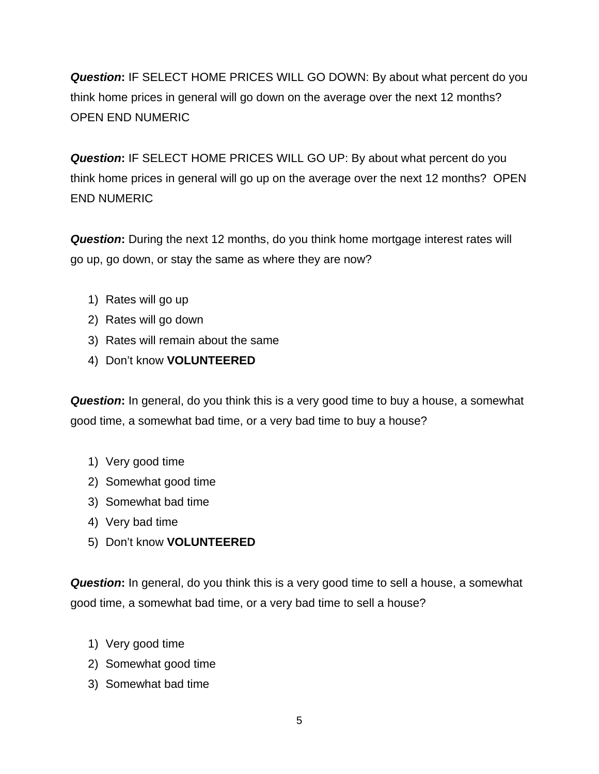*Question***:** IF SELECT HOME PRICES WILL GO DOWN: By about what percent do you think home prices in general will go down on the average over the next 12 months? OPEN END NUMERIC

*Question***:** IF SELECT HOME PRICES WILL GO UP: By about what percent do you think home prices in general will go up on the average over the next 12 months? OPEN END NUMERIC

**Question:** During the next 12 months, do you think home mortgage interest rates will go up, go down, or stay the same as where they are now?

- 1) Rates will go up
- 2) Rates will go down
- 3) Rates will remain about the same
- 4) Don't know **VOLUNTEERED**

*Question***:** In general, do you think this is a very good time to buy a house, a somewhat good time, a somewhat bad time, or a very bad time to buy a house?

- 1) Very good time
- 2) Somewhat good time
- 3) Somewhat bad time
- 4) Very bad time
- 5) Don't know **VOLUNTEERED**

*Question***:** In general, do you think this is a very good time to sell a house, a somewhat good time, a somewhat bad time, or a very bad time to sell a house?

- 1) Very good time
- 2) Somewhat good time
- 3) Somewhat bad time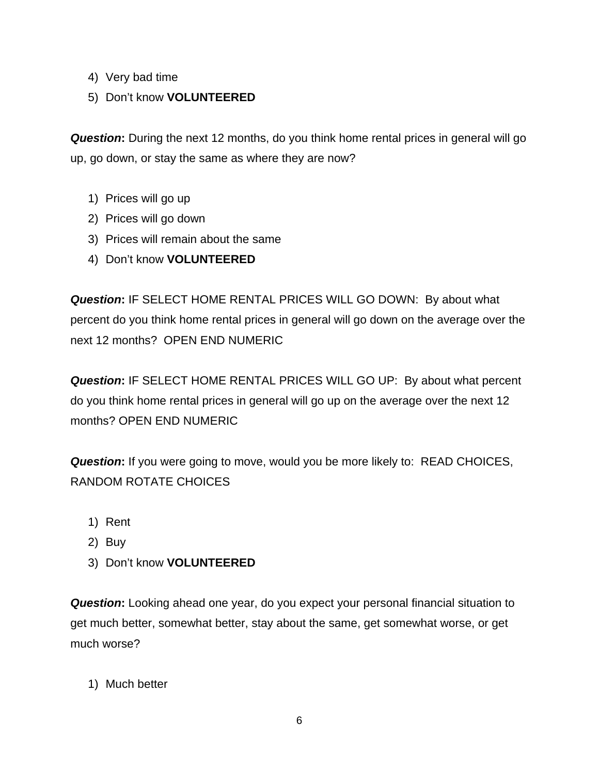- 4) Very bad time
- 5) Don't know **VOLUNTEERED**

**Question:** During the next 12 months, do you think home rental prices in general will go up, go down, or stay the same as where they are now?

- 1) Prices will go up
- 2) Prices will go down
- 3) Prices will remain about the same
- 4) Don't know **VOLUNTEERED**

*Question***:** IF SELECT HOME RENTAL PRICES WILL GO DOWN: By about what percent do you think home rental prices in general will go down on the average over the next 12 months? OPEN END NUMERIC

*Question***:** IF SELECT HOME RENTAL PRICES WILL GO UP: By about what percent do you think home rental prices in general will go up on the average over the next 12 months? OPEN END NUMERIC

*Question***:** If you were going to move, would you be more likely to: READ CHOICES, RANDOM ROTATE CHOICES

- 1) Rent
- 2) Buy
- 3) Don't know **VOLUNTEERED**

*Question***:** Looking ahead one year, do you expect your personal financial situation to get much better, somewhat better, stay about the same, get somewhat worse, or get much worse?

1) Much better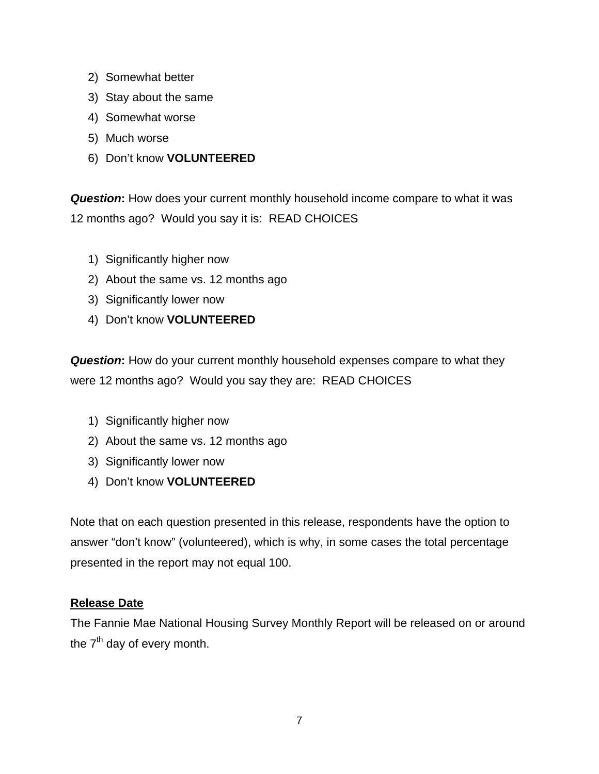- 2) Somewhat better
- 3) Stay about the same
- 4) Somewhat worse
- 5) Much worse
- 6) Don't know **VOLUNTEERED**

*Question***:** How does your current monthly household income compare to what it was 12 months ago? Would you say it is: READ CHOICES

- 1) Significantly higher now
- 2) About the same vs. 12 months ago
- 3) Significantly lower now
- 4) Don't know **VOLUNTEERED**

**Question:** How do your current monthly household expenses compare to what they were 12 months ago? Would you say they are: READ CHOICES

- 1) Significantly higher now
- 2) About the same vs. 12 months ago
- 3) Significantly lower now
- 4) Don't know **VOLUNTEERED**

Note that on each question presented in this release, respondents have the option to answer "don't know" (volunteered), which is why, in some cases the total percentage presented in the report may not equal 100.

#### **Release Date**

The Fannie Mae National Housing Survey Monthly Report will be released on or around the  $7<sup>th</sup>$  day of every month.